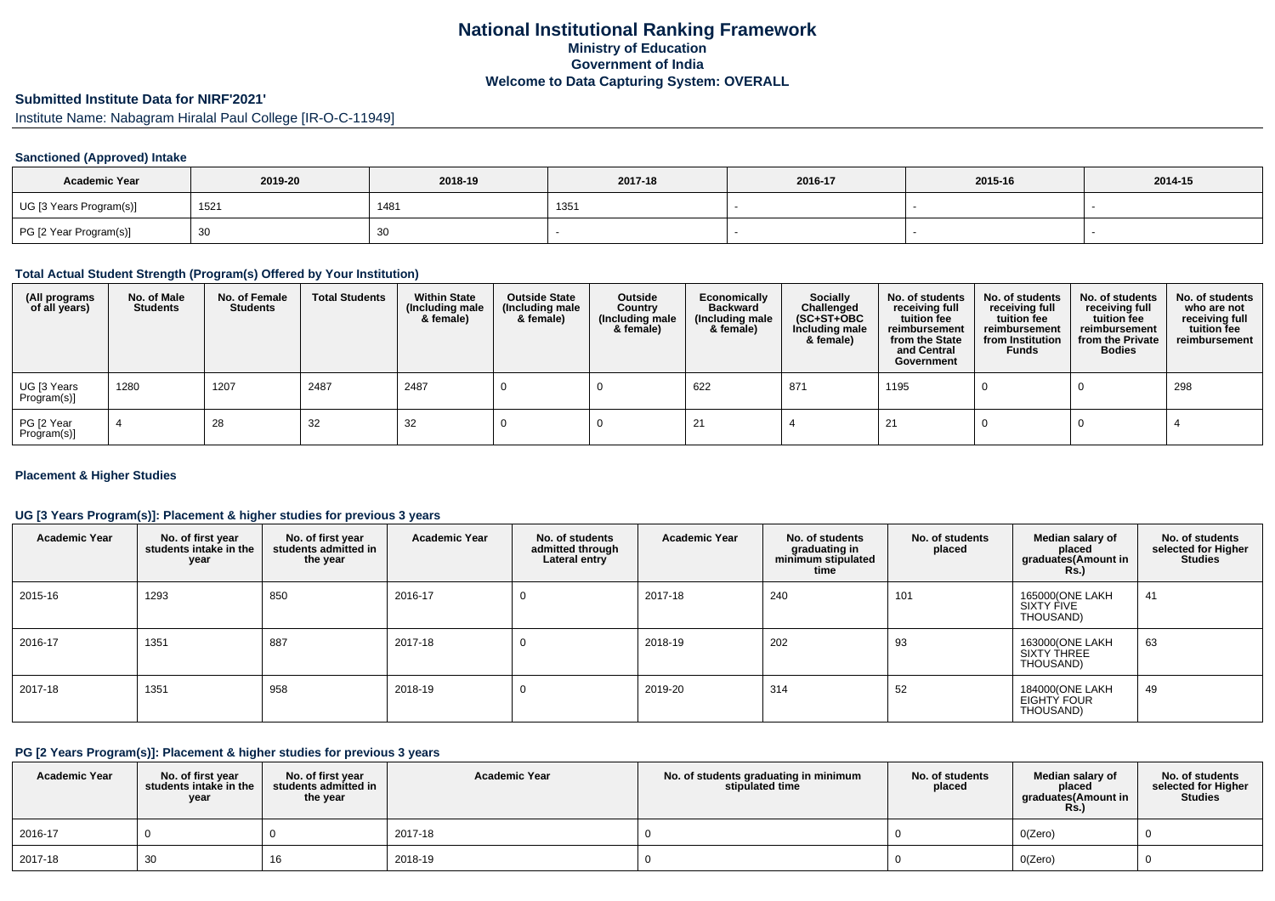## **National Institutional Ranking FrameworkMinistry of Education Government of IndiaWelcome to Data Capturing System: OVERALL**

# **Submitted Institute Data for NIRF'2021'**

Institute Name: Nabagram Hiralal Paul College [IR-O-C-11949]

### **Sanctioned (Approved) Intake**

| <b>Academic Year</b>    | 2019-20 | 2018-19 | 2017-18 | 2016-17 | 2015-16 | 2014-15 |
|-------------------------|---------|---------|---------|---------|---------|---------|
| UG [3 Years Program(s)] | 152'    | 1481    | 135'    |         |         |         |
| PG [2 Year Program(s)]  |         | 30      |         |         |         |         |

#### **Total Actual Student Strength (Program(s) Offered by Your Institution)**

| (All programs<br>of all years) | No. of Male<br><b>Students</b> | No. of Female<br>Students | <b>Total Students</b> | <b>Within State</b><br>(Including male<br>& female) | <b>Outside State</b><br>(Including male<br>& female) | Outside<br>Country<br>(Including male<br>& female) | Economically<br><b>Backward</b><br>(Including male<br>& female) | <b>Socially</b><br>Challenged<br>$(SC+ST+OBC)$<br>Including male<br>& female) | No. of students<br>receiving full<br>tuition fee<br>reimbursement<br>from the State<br>and Central<br>Government | No. of students<br>receiving full<br>tuition fee<br>reimbursement<br>from Institution<br><b>Funds</b> | No. of students<br>receiving full<br>tuition fee<br>reimbursement<br>from the Private<br><b>Bodies</b> | No. of students<br>who are not<br>receiving full<br>tuition fee<br>reimbursement |
|--------------------------------|--------------------------------|---------------------------|-----------------------|-----------------------------------------------------|------------------------------------------------------|----------------------------------------------------|-----------------------------------------------------------------|-------------------------------------------------------------------------------|------------------------------------------------------------------------------------------------------------------|-------------------------------------------------------------------------------------------------------|--------------------------------------------------------------------------------------------------------|----------------------------------------------------------------------------------|
| UG [3 Years<br>Program(s)]     | 1280                           | 1207                      | 2487                  | 2487                                                |                                                      |                                                    | 622                                                             | 871                                                                           | 1195                                                                                                             |                                                                                                       |                                                                                                        | 298                                                                              |
| PG [2 Year<br>Program(s)]      |                                | 28                        | 32                    | 32                                                  |                                                      |                                                    |                                                                 |                                                                               | -21                                                                                                              |                                                                                                       |                                                                                                        |                                                                                  |

### **Placement & Higher Studies**

## **UG [3 Years Program(s)]: Placement & higher studies for previous 3 years**

| <b>Academic Year</b> | No. of first year<br>students intake in the<br>year | No. of first year<br>students admitted in<br>the year | <b>Academic Year</b> | No. of students<br>admitted through<br>Lateral entry | <b>Academic Year</b> | No. of students<br>graduating in<br>minimum stipulated<br>time | No. of students<br>placed | Median salary of<br>placed<br>graduates(Amount in<br><b>Rs.</b> ) | No. of students<br>selected for Higher<br><b>Studies</b> |
|----------------------|-----------------------------------------------------|-------------------------------------------------------|----------------------|------------------------------------------------------|----------------------|----------------------------------------------------------------|---------------------------|-------------------------------------------------------------------|----------------------------------------------------------|
| 2015-16              | 1293                                                | 850                                                   | 2016-17              | 0                                                    | 2017-18              | 240                                                            | 101                       | 165000(ONE LAKH<br>SIXTY FIVE<br>THOUSAND)                        | 41                                                       |
| 2016-17              | 1351                                                | 887                                                   | 2017-18              | 0                                                    | 2018-19              | 202                                                            | 93                        | 163000(ONE LAKH<br>SIXTY THREE<br>THOUSAND)                       | 63                                                       |
| 2017-18              | 1351                                                | 958                                                   | 2018-19              | 0                                                    | 2019-20              | 314                                                            | 52                        | 184000(ONE LAKH<br>EIGHTY FOUR<br>THOUSAND)                       | 49                                                       |

### **PG [2 Years Program(s)]: Placement & higher studies for previous 3 years**

| <b>Academic Year</b> | No. of first year<br>students intake in the<br>year | No. of first year<br>students admitted in<br>the year | <b>Academic Year</b> | No. of students graduating in minimum<br>stipulated time | No. of students<br>placed | Median salary of<br>placed<br>graduates(Amount in<br><b>Rs.)</b> | No. of students<br>selected for Higher<br><b>Studies</b> |
|----------------------|-----------------------------------------------------|-------------------------------------------------------|----------------------|----------------------------------------------------------|---------------------------|------------------------------------------------------------------|----------------------------------------------------------|
| $12016 - 17$         |                                                     |                                                       | 2017-18              |                                                          |                           | O(Zero)                                                          |                                                          |
| 2017-18              | 30                                                  | 16                                                    | 2018-19              |                                                          |                           | O(Zero)                                                          |                                                          |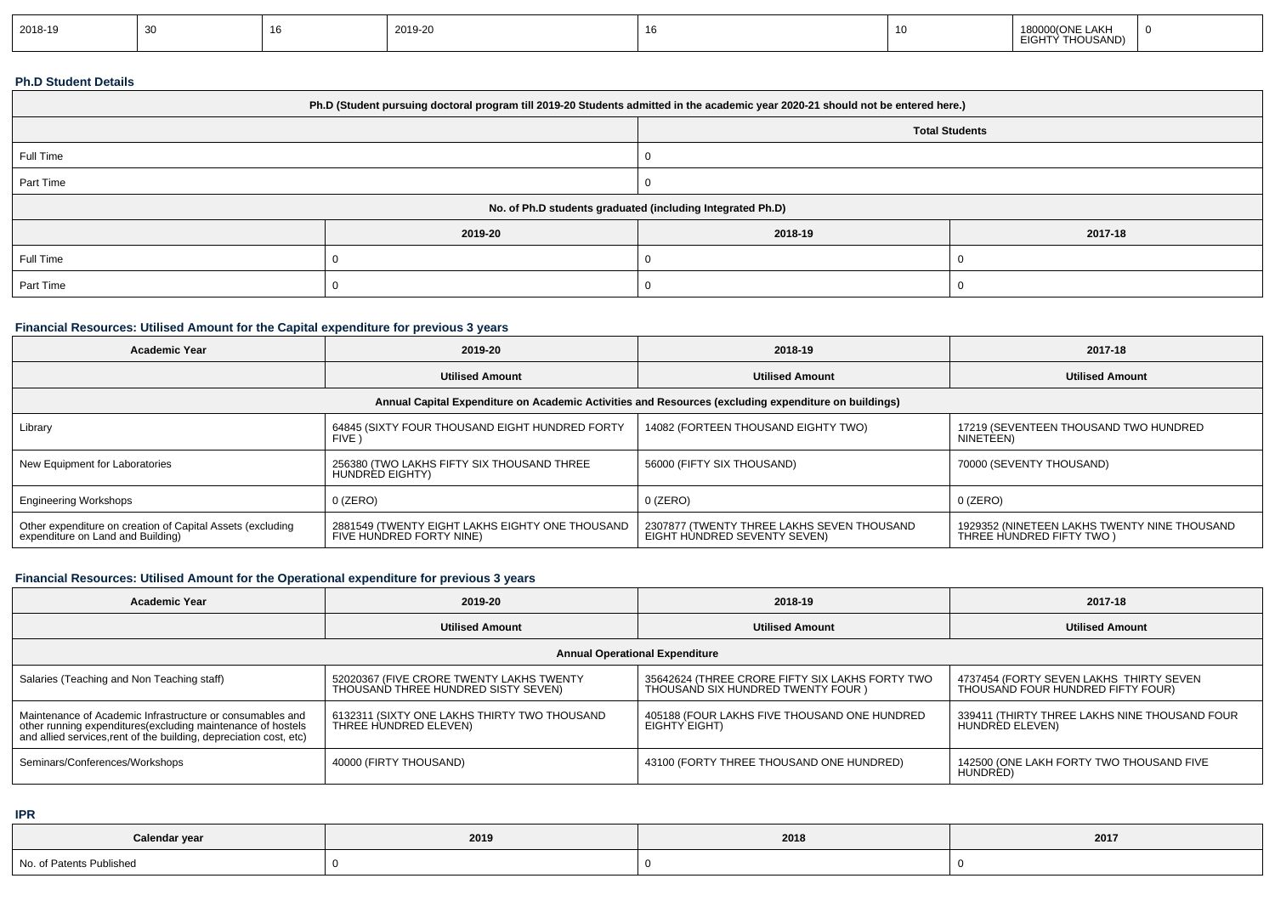| 2018-19 |  | 2019-20 |  | LAKH<br>າ(ONF<br>HOUSAND) |  |
|---------|--|---------|--|---------------------------|--|
|         |  |         |  |                           |  |

## **Ph.D Student Details**

|                                                            | Ph.D (Student pursuing doctoral program till 2019-20 Students admitted in the academic year 2020-21 should not be entered here.) |         |                       |  |  |
|------------------------------------------------------------|----------------------------------------------------------------------------------------------------------------------------------|---------|-----------------------|--|--|
|                                                            |                                                                                                                                  |         | <b>Total Students</b> |  |  |
| Full Time                                                  |                                                                                                                                  |         |                       |  |  |
| Part Time                                                  |                                                                                                                                  |         |                       |  |  |
| No. of Ph.D students graduated (including Integrated Ph.D) |                                                                                                                                  |         |                       |  |  |
|                                                            | 2019-20                                                                                                                          | 2018-19 | 2017-18               |  |  |
| Full Time                                                  |                                                                                                                                  |         |                       |  |  |
| Part Time                                                  |                                                                                                                                  |         |                       |  |  |

## **Financial Resources: Utilised Amount for the Capital expenditure for previous 3 years**

| <b>Academic Year</b>                                                                            | 2019-20                                                                     | 2018-19                                                                                              | 2017-18                                                                   |
|-------------------------------------------------------------------------------------------------|-----------------------------------------------------------------------------|------------------------------------------------------------------------------------------------------|---------------------------------------------------------------------------|
|                                                                                                 | <b>Utilised Amount</b>                                                      | <b>Utilised Amount</b>                                                                               | <b>Utilised Amount</b>                                                    |
|                                                                                                 |                                                                             | Annual Capital Expenditure on Academic Activities and Resources (excluding expenditure on buildings) |                                                                           |
| Library                                                                                         | 64845 (SIXTY FOUR THOUSAND EIGHT HUNDRED FORTY<br>FIVE )                    | 14082 (FORTEEN THOUSAND EIGHTY TWO)                                                                  | 17219 (SEVENTEEN THOUSAND TWO HUNDRED<br>NINETEEN)                        |
| New Equipment for Laboratories                                                                  | 256380 (TWO LAKHS FIFTY SIX THOUSAND THREE<br>HUNDRED EIGHTY)               | 56000 (FIFTY SIX THOUSAND)                                                                           | 70000 (SEVENTY THOUSAND)                                                  |
| <b>Engineering Workshops</b>                                                                    | $0$ (ZERO)                                                                  | $0$ (ZERO)                                                                                           | $0$ (ZERO)                                                                |
| Other expenditure on creation of Capital Assets (excluding<br>expenditure on Land and Building) | 2881549 (TWENTY EIGHT LAKHS EIGHTY ONE THOUSAND<br>FIVE HUNDRED FORTY NINE) | 2307877 (TWENTY THREE LAKHS SEVEN THOUSAND<br>EIGHT HÙNDRED SEVENTY SEVEN)                           | 1929352 (NINETEEN LAKHS TWENTY NINE THOUSAND<br>THREE HUNDRED FIFTY TWO ) |

## **Financial Resources: Utilised Amount for the Operational expenditure for previous 3 years**

| Academic Year                                                                                                                                                                                  | 2019-20                                                                         | 2018-19                                                                               | 2017-18                                                                      |
|------------------------------------------------------------------------------------------------------------------------------------------------------------------------------------------------|---------------------------------------------------------------------------------|---------------------------------------------------------------------------------------|------------------------------------------------------------------------------|
|                                                                                                                                                                                                | <b>Utilised Amount</b>                                                          | <b>Utilised Amount</b>                                                                | <b>Utilised Amount</b>                                                       |
|                                                                                                                                                                                                |                                                                                 | <b>Annual Operational Expenditure</b>                                                 |                                                                              |
| Salaries (Teaching and Non Teaching staff)                                                                                                                                                     | 52020367 (FIVE CRORE TWENTY LAKHS TWENTY<br>THOUSAND THREE HUNDRED SISTY SEVEN) | 35642624 (THREE CRORE FIFTY SIX LAKHS FORTY TWO<br>THOUSAND SIX HUNDRED TWENTY FOUR ) | 4737454 (FORTY SEVEN LAKHS THIRTY SEVEN<br>THOUSAND FOUR HUNDRED FIFTY FOUR) |
| Maintenance of Academic Infrastructure or consumables and<br>other running expenditures(excluding maintenance of hostels<br>and allied services, rent of the building, depreciation cost, etc) | 6132311 (SIXTY ONE LAKHS THIRTY TWO THOUSAND<br>THREE HUNDRED ELEVEN)           | 405188 (FOUR LAKHS FIVE THOUSAND ONE HUNDRED<br>EIGHTY EIGHT)                         | 339411 (THIRTY THREE LAKHS NINE THOUSAND FOUR<br>HUNDRED ELEVEN)             |
| Seminars/Conferences/Workshops                                                                                                                                                                 | 40000 (FIRTY THOUSAND)                                                          | 43100 (FORTY THREE THOUSAND ONE HUNDRED)                                              | 142500 (ONE LAKH FORTY TWO THOUSAND FIVE<br>HUNDRED)                         |

**IPR**

| Calendar year            | 2019 | 2018 | 2017 |
|--------------------------|------|------|------|
| No. of Patents Published |      |      |      |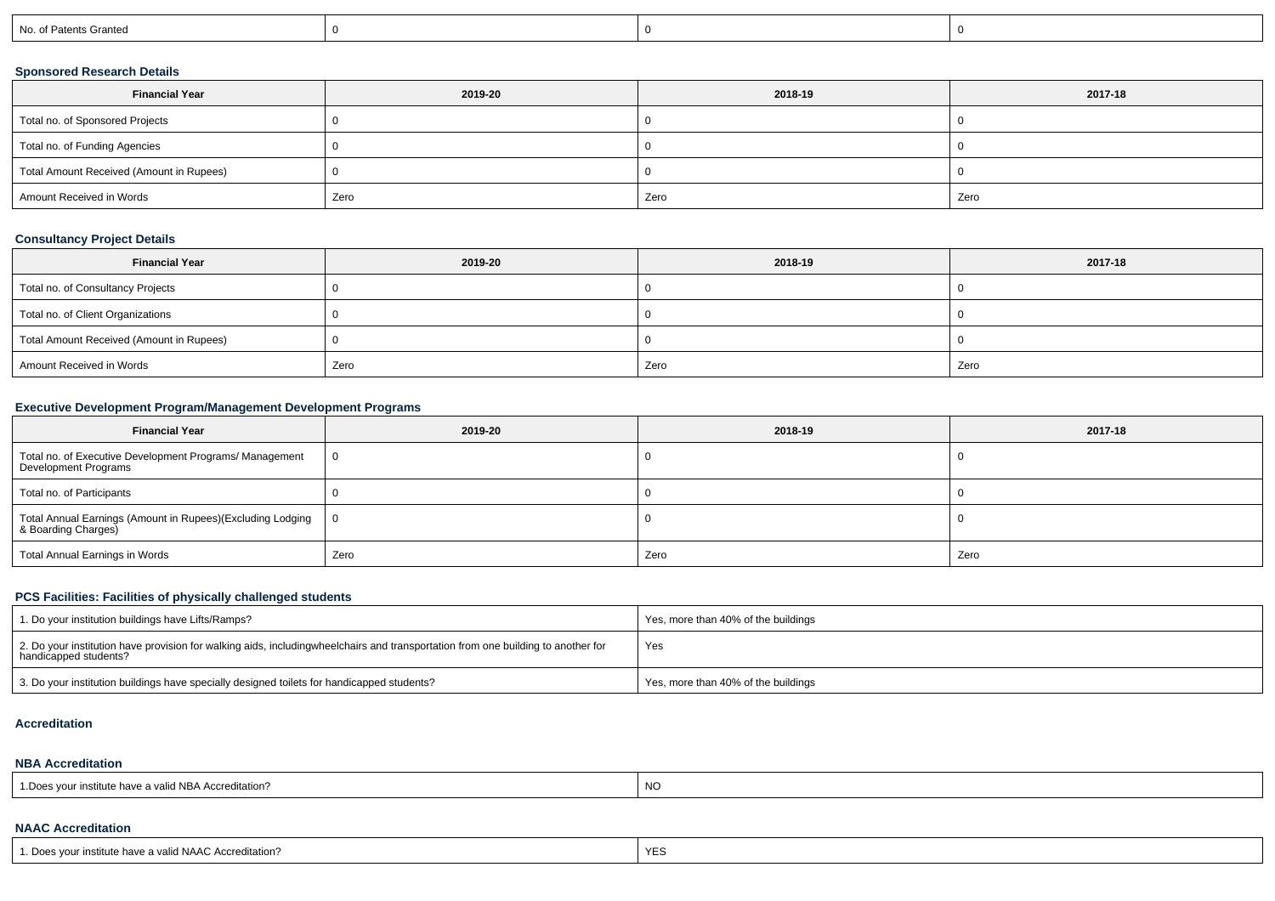| No. of Patents Granted |  |  |
|------------------------|--|--|
|                        |  |  |

## **Sponsored Research Details**

| <b>Financial Year</b>                    | 2019-20 | 2018-19 | 2017-18 |
|------------------------------------------|---------|---------|---------|
| Total no. of Sponsored Projects          |         |         |         |
| Total no. of Funding Agencies            |         |         |         |
| Total Amount Received (Amount in Rupees) |         |         |         |
| Amount Received in Words                 | Zero    | Zero    | Zero    |

## **Consultancy Project Details**

| <b>Financial Year</b>                    | 2019-20 | 2018-19 | 2017-18 |
|------------------------------------------|---------|---------|---------|
| Total no. of Consultancy Projects        |         |         |         |
| Total no. of Client Organizations        |         |         |         |
| Total Amount Received (Amount in Rupees) |         |         |         |
| Amount Received in Words                 | Zero    | Zero    | Zero    |

## **Executive Development Program/Management Development Programs**

| <b>Financial Year</b>                                                             | 2019-20        | 2018-19 | 2017-18 |
|-----------------------------------------------------------------------------------|----------------|---------|---------|
| Total no. of Executive Development Programs/ Management<br>Development Programs   | $\overline{0}$ |         |         |
| Total no. of Participants                                                         |                |         |         |
| Total Annual Earnings (Amount in Rupees)(Excluding Lodging<br>& Boarding Charges) | ΙO             |         |         |
| Total Annual Earnings in Words                                                    | Zero           | Zero    | Zero    |

## **PCS Facilities: Facilities of physically challenged students**

| 1. Do your institution buildings have Lifts/Ramps?                                                                                                        | Yes, more than 40% of the buildings |
|-----------------------------------------------------------------------------------------------------------------------------------------------------------|-------------------------------------|
| 2. Do your institution have provision for walking aids, includingwheelchairs and transportation from one building to another for<br>handicapped students? | Yes                                 |
| 3. Do your institution buildings have specially designed toilets for handicapped students?                                                                | Yes, more than 40% of the buildings |

#### **Accreditation**

#### **NBA Accreditation**

| 1. Does your institute have a valid NBA Accreditation? | N0 |
|--------------------------------------------------------|----|
|--------------------------------------------------------|----|

## **NAAC Accreditation**

| YES |
|-----|
|     |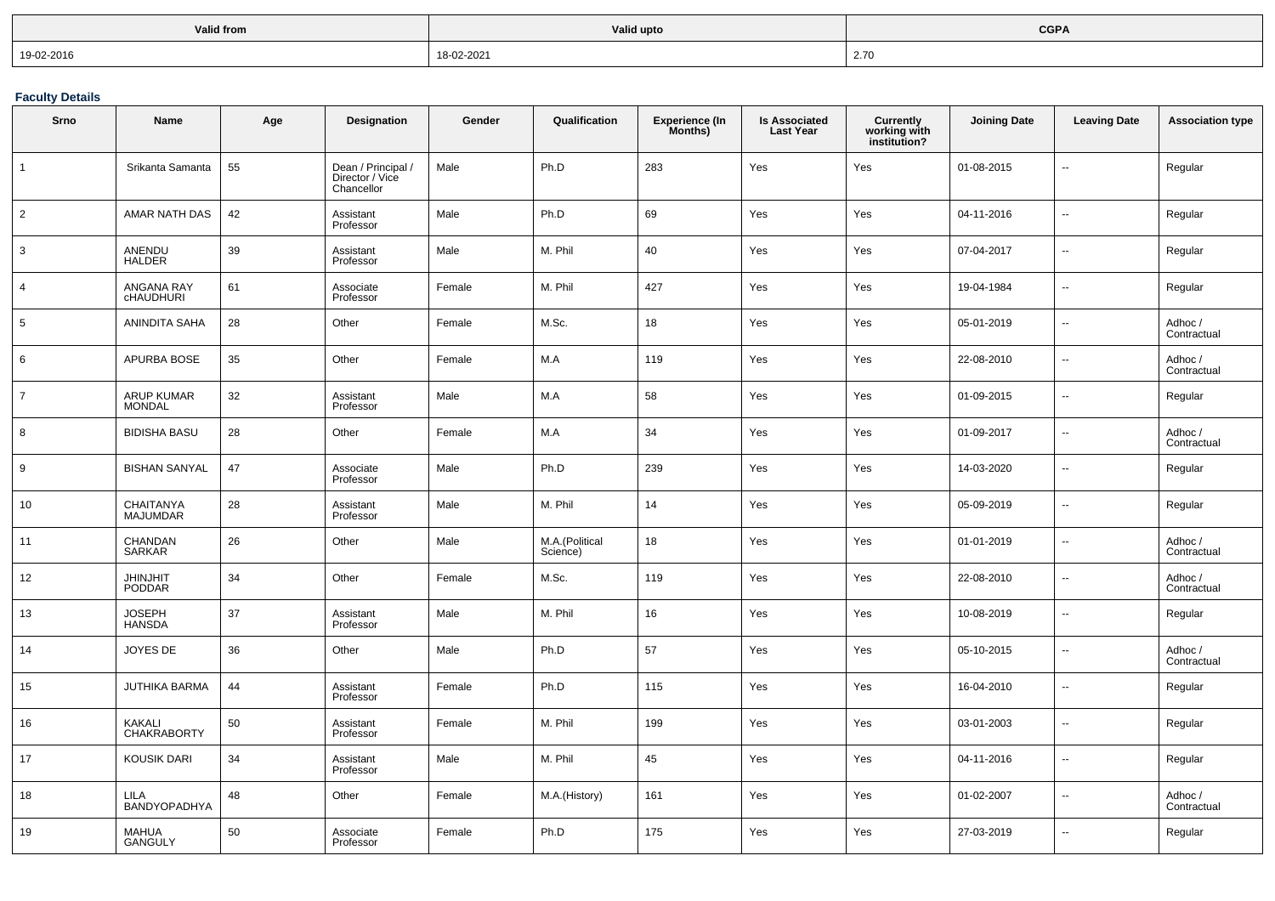| Valid from | Valid upto | <b>CGPA</b>         |
|------------|------------|---------------------|
| 19-02-2016 | 18-02-2021 | $\sim$ $70$<br>2.70 |

**Faculty Details**

| Srno            | <b>Name</b>                         | Age | Designation                                         | Gender | Qualification              | <b>Experience (In</b><br>Months) | <b>Is Associated</b><br><b>Last Year</b> | Currently<br>working with<br>institution? | <b>Joining Date</b> | <b>Leaving Date</b>      | <b>Association type</b> |
|-----------------|-------------------------------------|-----|-----------------------------------------------------|--------|----------------------------|----------------------------------|------------------------------------------|-------------------------------------------|---------------------|--------------------------|-------------------------|
| $\mathbf{1}$    | Srikanta Samanta                    | 55  | Dean / Principal /<br>Director / Vice<br>Chancellor | Male   | Ph.D                       | 283                              | Yes                                      | Yes                                       | 01-08-2015          | ۵.                       | Regular                 |
| $\overline{2}$  | AMAR NATH DAS                       | 42  | Assistant<br>Professor                              | Male   | Ph.D                       | 69                               | Yes                                      | Yes                                       | 04-11-2016          | Ξ.                       | Regular                 |
| 3               | ANENDU<br><b>HALDER</b>             | 39  | Assistant<br>Professor                              | Male   | M. Phil                    | 40                               | Yes                                      | Yes                                       | 07-04-2017          | Ξ.                       | Regular                 |
| $\overline{4}$  | ANGANA RAY<br><b>CHAUDHURI</b>      | 61  | Associate<br>Professor                              | Female | M. Phil                    | 427                              | Yes                                      | Yes                                       | 19-04-1984          | Ξ.                       | Regular                 |
| $5\phantom{.0}$ | ANINDITA SAHA                       | 28  | Other                                               | Female | M.Sc.                      | 18                               | Yes                                      | Yes                                       | 05-01-2019          | Ξ.                       | Adhoc /<br>Contractual  |
| 6               | APURBA BOSE                         | 35  | Other                                               | Female | M.A                        | 119                              | Yes                                      | Yes                                       | 22-08-2010          | ÷.                       | Adhoc /<br>Contractual  |
| $\overline{7}$  | <b>ARUP KUMAR</b><br><b>MONDAL</b>  | 32  | Assistant<br>Professor                              | Male   | M.A                        | 58                               | Yes                                      | Yes                                       | 01-09-2015          | $\overline{\phantom{a}}$ | Regular                 |
| 8               | <b>BIDISHA BASU</b>                 | 28  | Other                                               | Female | M.A                        | 34                               | Yes                                      | Yes                                       | 01-09-2017          | ÷.                       | Adhoc /<br>Contractual  |
| 9               | <b>BISHAN SANYAL</b>                | 47  | Associate<br>Professor                              | Male   | Ph.D                       | 239                              | Yes                                      | Yes                                       | 14-03-2020          | Ξ.                       | Regular                 |
| 10              | CHAITANYA<br><b>MAJUMDAR</b>        | 28  | Assistant<br>Professor                              | Male   | M. Phil                    | 14                               | Yes                                      | Yes                                       | 05-09-2019          | ÷.                       | Regular                 |
| 11              | CHANDAN<br><b>SARKAR</b>            | 26  | Other                                               | Male   | M.A.(Political<br>Science) | 18                               | Yes                                      | Yes                                       | 01-01-2019          | Ξ.                       | Adhoc /<br>Contractual  |
| 12              | <b>JHINJHIT</b><br>PODDAR           | 34  | Other                                               | Female | M.Sc.                      | 119                              | Yes                                      | Yes                                       | 22-08-2010          | Ξ.                       | Adhoc /<br>Contractual  |
| 13              | <b>JOSEPH</b><br><b>HANSDA</b>      | 37  | Assistant<br>Professor                              | Male   | M. Phil                    | 16                               | Yes                                      | Yes                                       | 10-08-2019          | Ξ.                       | Regular                 |
| 14              | JOYES DE                            | 36  | Other                                               | Male   | Ph.D                       | 57                               | Yes                                      | Yes                                       | 05-10-2015          | --                       | Adhoc /<br>Contractual  |
| 15              | <b>JUTHIKA BARMA</b>                | 44  | Assistant<br>Professor                              | Female | Ph.D                       | 115                              | Yes                                      | Yes                                       | 16-04-2010          | $\overline{a}$           | Regular                 |
| 16              | <b>KAKALI</b><br><b>CHAKRABORTY</b> | 50  | Assistant<br>Professor                              | Female | M. Phil                    | 199                              | Yes                                      | Yes                                       | 03-01-2003          | --                       | Regular                 |
| 17              | <b>KOUSIK DARI</b>                  | 34  | Assistant<br>Professor                              | Male   | M. Phil                    | 45                               | Yes                                      | Yes                                       | 04-11-2016          | Ξ.                       | Regular                 |
| 18              | <b>LILA</b><br>BANDYOPADHYA         | 48  | Other                                               | Female | M.A.(History)              | 161                              | Yes                                      | Yes                                       | 01-02-2007          | --                       | Adhoc /<br>Contractual  |
| 19              | <b>MAHUA</b><br><b>GANGULY</b>      | 50  | Associate<br>Professor                              | Female | Ph.D                       | 175                              | Yes                                      | Yes                                       | 27-03-2019          | ÷.                       | Regular                 |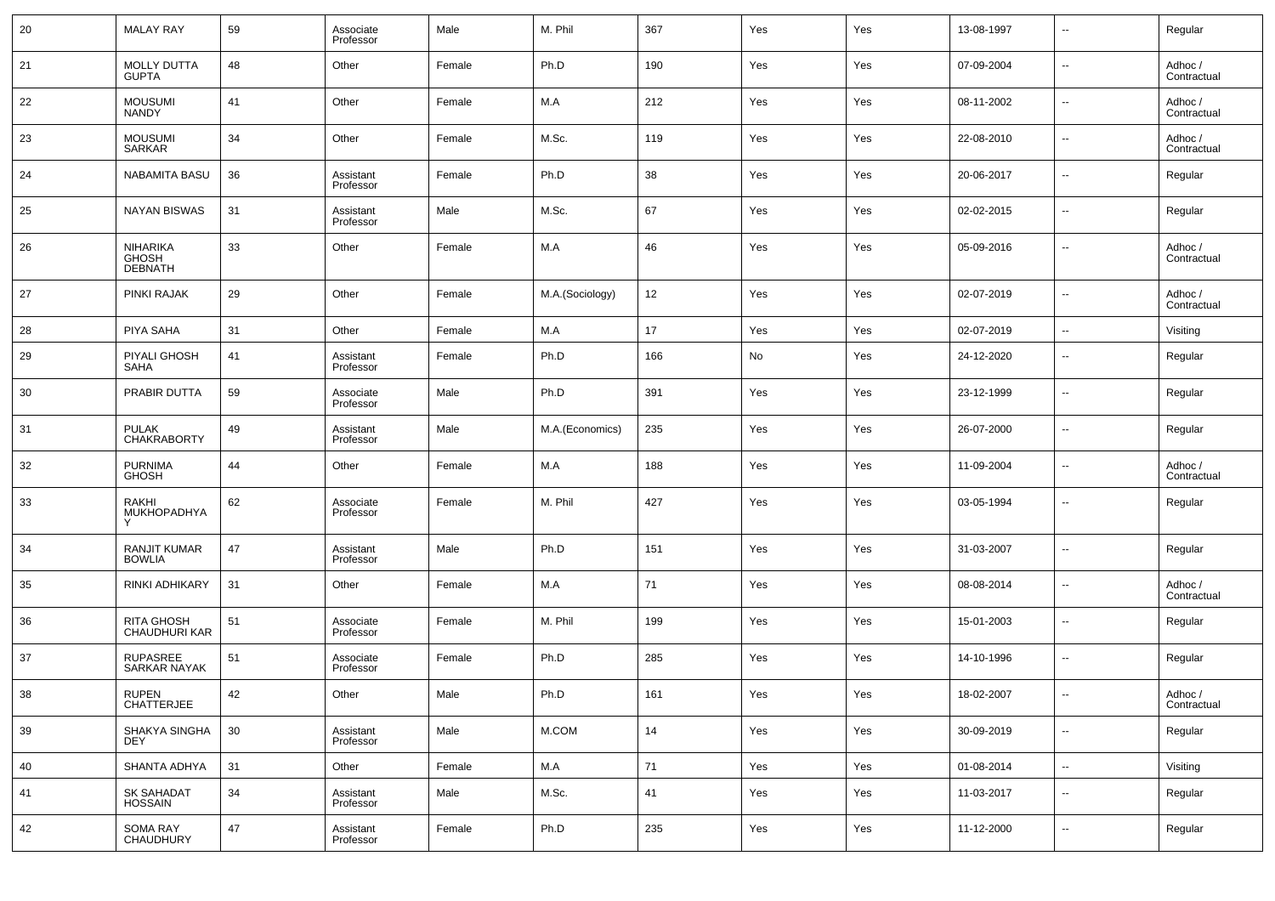| 20 | <b>MALAY RAY</b>                           | 59 | Associate<br>Professor | Male   | M. Phil         | 367 | Yes | Yes | 13-08-1997 | $\overline{\phantom{a}}$ | Regular                |
|----|--------------------------------------------|----|------------------------|--------|-----------------|-----|-----|-----|------------|--------------------------|------------------------|
| 21 | <b>MOLLY DUTTA</b><br><b>GUPTA</b>         | 48 | Other                  | Female | Ph.D            | 190 | Yes | Yes | 07-09-2004 | $\overline{\phantom{a}}$ | Adhoc /<br>Contractual |
| 22 | <b>MOUSUMI</b><br><b>NANDY</b>             | 41 | Other                  | Female | M.A             | 212 | Yes | Yes | 08-11-2002 | $\sim$                   | Adhoc /<br>Contractual |
| 23 | <b>MOUSUMI</b><br><b>SARKAR</b>            | 34 | Other                  | Female | M.Sc.           | 119 | Yes | Yes | 22-08-2010 | $\overline{\phantom{a}}$ | Adhoc /<br>Contractual |
| 24 | <b>NABAMITA BASU</b>                       | 36 | Assistant<br>Professor | Female | Ph.D            | 38  | Yes | Yes | 20-06-2017 | $\overline{\phantom{a}}$ | Regular                |
| 25 | <b>NAYAN BISWAS</b>                        | 31 | Assistant<br>Professor | Male   | M.Sc.           | 67  | Yes | Yes | 02-02-2015 | $\overline{\phantom{a}}$ | Regular                |
| 26 | NIHARIKA<br><b>GHOSH</b><br><b>DEBNATH</b> | 33 | Other                  | Female | M.A             | 46  | Yes | Yes | 05-09-2016 | --                       | Adhoc /<br>Contractual |
| 27 | <b>PINKI RAJAK</b>                         | 29 | Other                  | Female | M.A.(Sociology) | 12  | Yes | Yes | 02-07-2019 | $\overline{\phantom{a}}$ | Adhoc /<br>Contractual |
| 28 | PIYA SAHA                                  | 31 | Other                  | Female | M.A             | 17  | Yes | Yes | 02-07-2019 | $\overline{\phantom{a}}$ | Visiting               |
| 29 | <b>PIYALI GHOSH</b><br><b>SAHA</b>         | 41 | Assistant<br>Professor | Female | Ph.D            | 166 | No  | Yes | 24-12-2020 | $\overline{\phantom{a}}$ | Regular                |
| 30 | PRABIR DUTTA                               | 59 | Associate<br>Professor | Male   | Ph.D            | 391 | Yes | Yes | 23-12-1999 | $\overline{\phantom{a}}$ | Regular                |
| 31 | <b>PULAK</b><br><b>CHAKRABORTY</b>         | 49 | Assistant<br>Professor | Male   | M.A.(Economics) | 235 | Yes | Yes | 26-07-2000 | $\overline{\phantom{a}}$ | Regular                |
| 32 | <b>PURNIMA</b><br><b>GHOSH</b>             | 44 | Other                  | Female | M.A             | 188 | Yes | Yes | 11-09-2004 | --                       | Adhoc /<br>Contractual |
| 33 | RAKHI<br>MUKHOPADHYA                       | 62 | Associate<br>Professor | Female | M. Phil         | 427 | Yes | Yes | 03-05-1994 | --                       | Regular                |
| 34 | RANJIT KUMAR<br><b>BOWLIA</b>              | 47 | Assistant<br>Professor | Male   | Ph.D            | 151 | Yes | Yes | 31-03-2007 | $\overline{\phantom{a}}$ | Regular                |
| 35 | RINKI ADHIKARY                             | 31 | Other                  | Female | M.A             | 71  | Yes | Yes | 08-08-2014 | $\ddotsc$                | Adhoc /<br>Contractual |
| 36 | RITA GHOSH<br>CHAUDHURI KAR                | 51 | Associate<br>Professor | Female | M. Phil         | 199 | Yes | Yes | 15-01-2003 | $\overline{\phantom{a}}$ | Regular                |
| 37 | <b>RUPASREE</b><br><b>SARKAR NAYAK</b>     | 51 | Associate<br>Professor | Female | Ph.D            | 285 | Yes | Yes | 14-10-1996 | ۰.                       | Regular                |
| 38 | <b>RUPEN</b><br>CHATTERJEE                 | 42 | Other                  | Male   | Ph.D            | 161 | Yes | Yes | 18-02-2007 |                          | Adhoc /<br>Contractual |
| 39 | SHAKYA SINGHA<br><b>DEY</b>                | 30 | Assistant<br>Professor | Male   | $M.$ COM        | 14  | Yes | Yes | 30-09-2019 | $\overline{\phantom{a}}$ | Regular                |
| 40 | SHANTA ADHYA                               | 31 | Other                  | Female | M.A             | 71  | Yes | Yes | 01-08-2014 | $\overline{\phantom{a}}$ | Visiting               |
| 41 | SK SAHADAT<br>HOSSAIN                      | 34 | Assistant<br>Professor | Male   | M.Sc.           | 41  | Yes | Yes | 11-03-2017 | $\sim$                   | Regular                |
| 42 | SOMA RAY<br>CHAUDHURY                      | 47 | Assistant<br>Professor | Female | Ph.D            | 235 | Yes | Yes | 11-12-2000 | $\sim$                   | Regular                |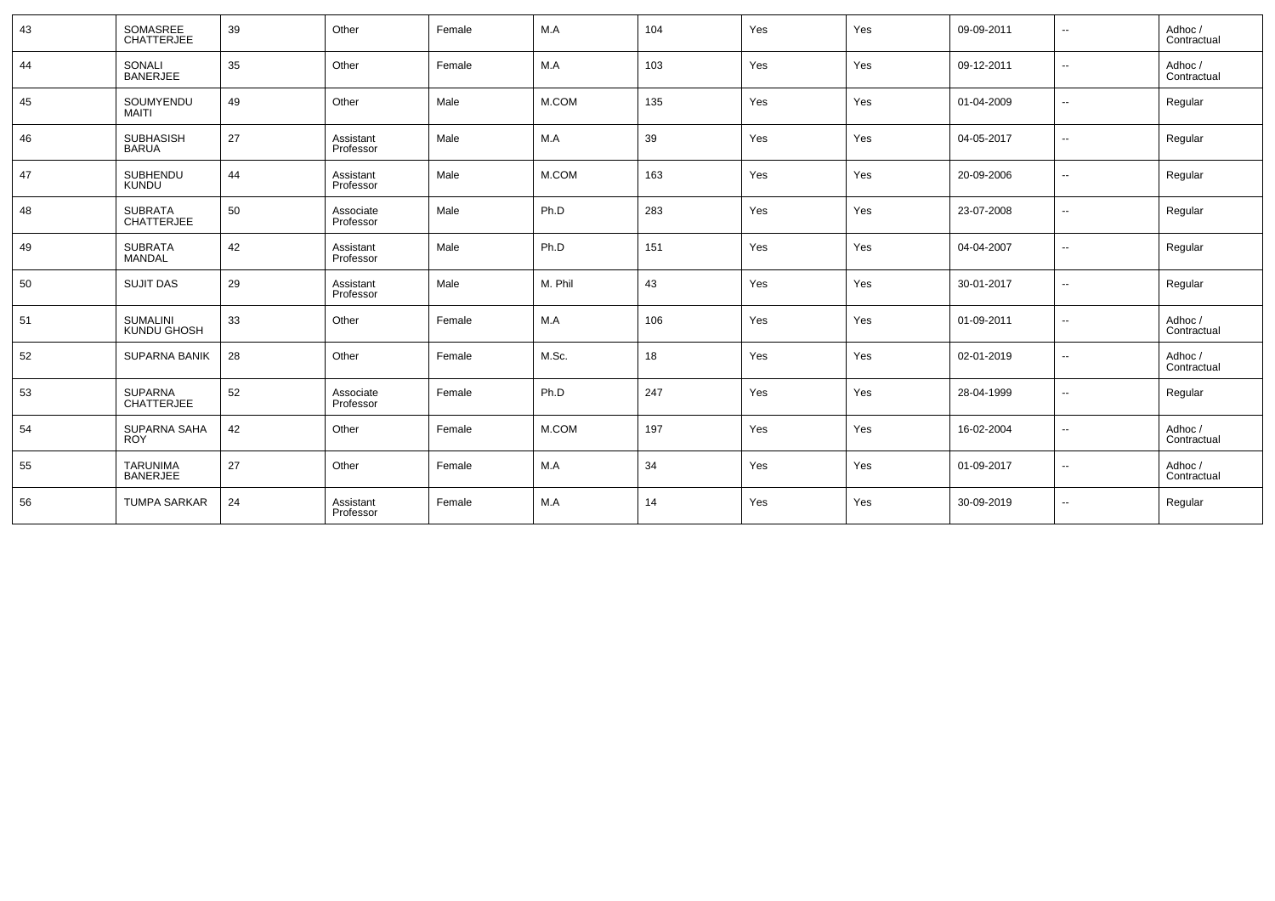| 43 | SOMASREE<br>CHATTERJEE              | 39 | Other                  | Female | M.A     | 104 | Yes | Yes | 09-09-2011 | $\overline{\phantom{a}}$ | Adhoc /<br>Contractual |
|----|-------------------------------------|----|------------------------|--------|---------|-----|-----|-----|------------|--------------------------|------------------------|
| 44 | SONALI<br><b>BANERJEE</b>           | 35 | Other                  | Female | M.A     | 103 | Yes | Yes | 09-12-2011 | $\overline{\phantom{a}}$ | Adhoc /<br>Contractual |
| 45 | SOUMYENDU<br><b>MAITI</b>           | 49 | Other                  | Male   | M.COM   | 135 | Yes | Yes | 01-04-2009 | $\overline{\phantom{a}}$ | Regular                |
| 46 | <b>SUBHASISH</b><br><b>BARUA</b>    | 27 | Assistant<br>Professor | Male   | M.A     | 39  | Yes | Yes | 04-05-2017 | $\overline{\phantom{a}}$ | Regular                |
| 47 | <b>SUBHENDU</b><br><b>KUNDU</b>     | 44 | Assistant<br>Professor | Male   | M.COM   | 163 | Yes | Yes | 20-09-2006 | $\overline{\phantom{a}}$ | Regular                |
| 48 | <b>SUBRATA</b><br><b>CHATTERJEE</b> | 50 | Associate<br>Professor | Male   | Ph.D    | 283 | Yes | Yes | 23-07-2008 | $\overline{\phantom{a}}$ | Regular                |
| 49 | <b>SUBRATA</b><br><b>MANDAL</b>     | 42 | Assistant<br>Professor | Male   | Ph.D    | 151 | Yes | Yes | 04-04-2007 | $\overline{\phantom{a}}$ | Regular                |
| 50 | <b>SUJIT DAS</b>                    | 29 | Assistant<br>Professor | Male   | M. Phil | 43  | Yes | Yes | 30-01-2017 | $\overline{\phantom{a}}$ | Regular                |
| 51 | <b>SUMALINI</b><br>KUNDU GHOSH      | 33 | Other                  | Female | M.A     | 106 | Yes | Yes | 01-09-2011 | $\overline{\phantom{a}}$ | Adhoc /<br>Contractual |
| 52 | <b>SUPARNA BANIK</b>                | 28 | Other                  | Female | M.Sc.   | 18  | Yes | Yes | 02-01-2019 | $\overline{\phantom{a}}$ | Adhoc /<br>Contractual |
| 53 | <b>SUPARNA</b><br><b>CHATTERJEE</b> | 52 | Associate<br>Professor | Female | Ph.D    | 247 | Yes | Yes | 28-04-1999 | $\overline{\phantom{a}}$ | Regular                |
| 54 | SUPARNA SAHA<br><b>ROY</b>          | 42 | Other                  | Female | M.COM   | 197 | Yes | Yes | 16-02-2004 | $\overline{\phantom{a}}$ | Adhoc /<br>Contractual |
| 55 | <b>TARUNIMA</b><br><b>BANERJEE</b>  | 27 | Other                  | Female | M.A     | 34  | Yes | Yes | 01-09-2017 | $\overline{\phantom{a}}$ | Adhoc /<br>Contractual |
| 56 | <b>TUMPA SARKAR</b>                 | 24 | Assistant<br>Professor | Female | M.A     | 14  | Yes | Yes | 30-09-2019 | $\overline{\phantom{a}}$ | Regular                |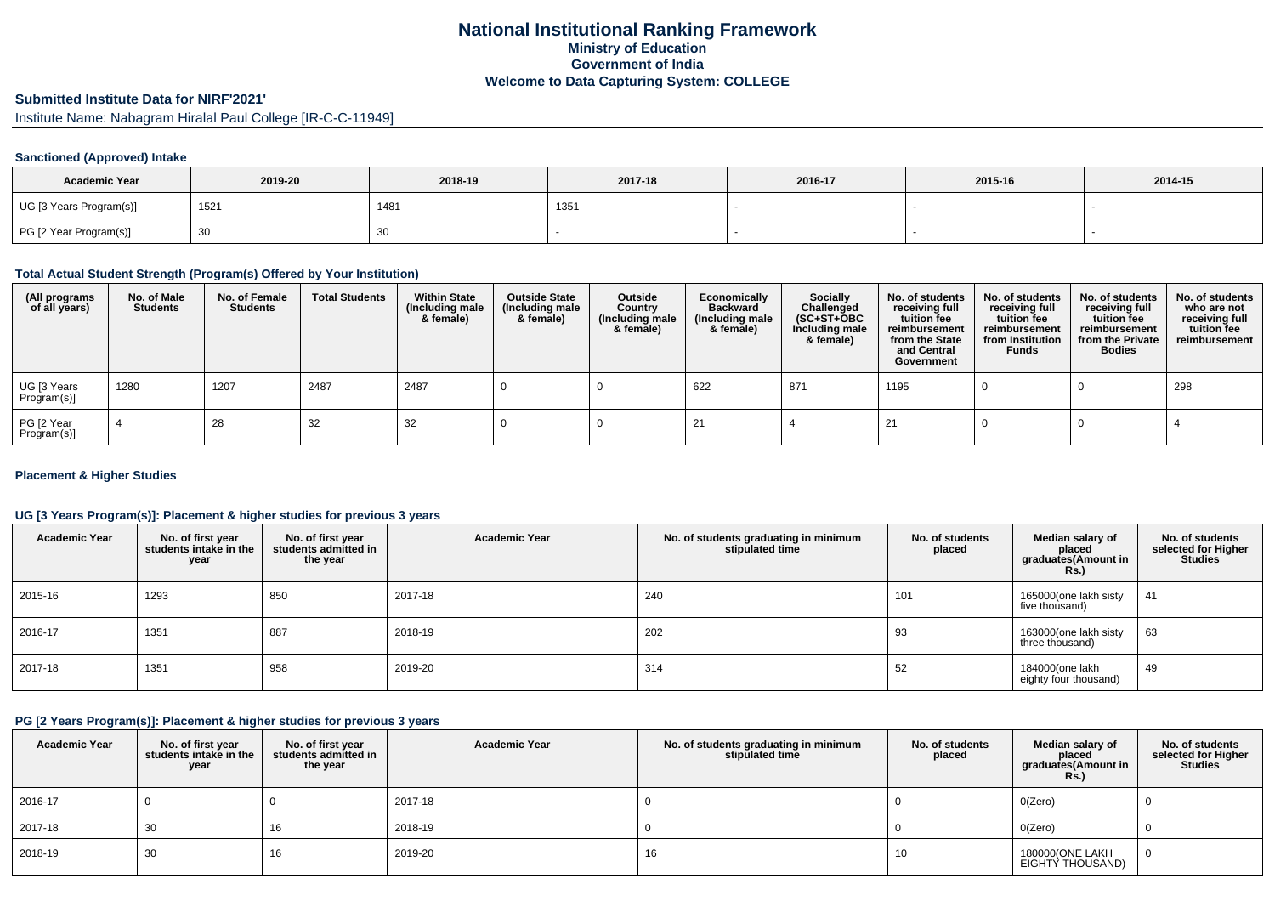## **National Institutional Ranking FrameworkMinistry of Education Government of IndiaWelcome to Data Capturing System: COLLEGE**

# **Submitted Institute Data for NIRF'2021'**

Institute Name: Nabagram Hiralal Paul College [IR-C-C-11949]

## **Sanctioned (Approved) Intake**

| <b>Academic Year</b>    | 2019-20 | 2018-19 | 2017-18 | 2016-17 | 2015-16 | 2014-15 |
|-------------------------|---------|---------|---------|---------|---------|---------|
| UG [3 Years Program(s)] | 152'    | 1481    | 135'    |         |         |         |
| PG [2 Year Program(s)]  |         | 30      |         |         |         |         |

## **Total Actual Student Strength (Program(s) Offered by Your Institution)**

| (All programs<br>of all years) | No. of Male<br><b>Students</b> | No. of Female<br><b>Students</b> | <b>Total Students</b> | <b>Within State</b><br>(Including male<br>& female) | <b>Outside State</b><br>(Including male<br>& female) | Outside<br>Country<br>(Including male<br>& female) | Economically<br><b>Backward</b><br>(Including male<br>& female) | <b>Socially</b><br>Challenged<br>$(SC+ST+OBC)$<br>Including male<br>& female) | No. of students<br>receiving full<br>tuition fee<br>reimbursement<br>from the State<br>and Central<br>Government | No. of students<br>receiving full<br>tuition fee<br>reimbursement<br>from Institution<br><b>Funds</b> | No. of students<br>receiving full<br>tuition fee<br>reimbursement<br>from the Private<br><b>Bodies</b> | No. of students<br>who are not<br>receiving full<br>tuition fee<br>reimbursement |
|--------------------------------|--------------------------------|----------------------------------|-----------------------|-----------------------------------------------------|------------------------------------------------------|----------------------------------------------------|-----------------------------------------------------------------|-------------------------------------------------------------------------------|------------------------------------------------------------------------------------------------------------------|-------------------------------------------------------------------------------------------------------|--------------------------------------------------------------------------------------------------------|----------------------------------------------------------------------------------|
| UG [3 Years<br>Program(s)]     | 1280                           | 1207                             | 2487                  | 2487                                                |                                                      |                                                    | 622                                                             | 871                                                                           | 1195                                                                                                             |                                                                                                       |                                                                                                        | 298                                                                              |
| PG [2 Year<br>Program(s)]      |                                | 28                               | 32                    | 32                                                  |                                                      |                                                    |                                                                 |                                                                               |                                                                                                                  |                                                                                                       |                                                                                                        |                                                                                  |

### **Placement & Higher Studies**

## **UG [3 Years Program(s)]: Placement & higher studies for previous 3 years**

| <b>Academic Year</b> | No. of first year<br>students intake in the<br>year | No. of first year<br>students admitted in<br>the year | <b>Academic Year</b> | No. of students graduating in minimum<br>stipulated time | No. of students<br>placed | Median salary of<br>placed<br>graduates(Amount in<br><b>Rs.)</b> | No. of students<br>selected for Higher<br><b>Studies</b> |
|----------------------|-----------------------------------------------------|-------------------------------------------------------|----------------------|----------------------------------------------------------|---------------------------|------------------------------------------------------------------|----------------------------------------------------------|
| 2015-16              | 1293                                                | 850                                                   | 2017-18              | 240                                                      | 101                       | 165000(one lakh sisty<br>five thousand)                          | 41                                                       |
| 2016-17              | 1351                                                | 887                                                   | 2018-19              | 202                                                      | 93                        | 163000(one lakh sisty<br>three thousand)                         | 63                                                       |
| 2017-18              | 1351                                                | 958                                                   | 2019-20              | 314                                                      | 52                        | 184000(one lakh<br>eighty four thousand)                         | 49                                                       |

## **PG [2 Years Program(s)]: Placement & higher studies for previous 3 years**

| <b>Academic Year</b> | No. of first year<br>students intake in the<br>year | No. of first year<br>students admitted in<br>the year | <b>Academic Year</b> | No. of students graduating in minimum<br>stipulated time | No. of students<br>placed | Median salary of<br>placed<br>graduates(Amount in<br><b>Rs.)</b> | No. of students<br>selected for Higher<br><b>Studies</b> |
|----------------------|-----------------------------------------------------|-------------------------------------------------------|----------------------|----------------------------------------------------------|---------------------------|------------------------------------------------------------------|----------------------------------------------------------|
| 2016-17              |                                                     |                                                       | 2017-18              |                                                          |                           | O(Zero)                                                          |                                                          |
| 2017-18              | 30                                                  | 16                                                    | 2018-19              |                                                          |                           | O(Zero)                                                          |                                                          |
| 2018-19              | 30                                                  | 16                                                    | 2019-20              | 16                                                       | 10                        | 180000(ONE LAKH<br>EIGHTY THOUSAND)                              |                                                          |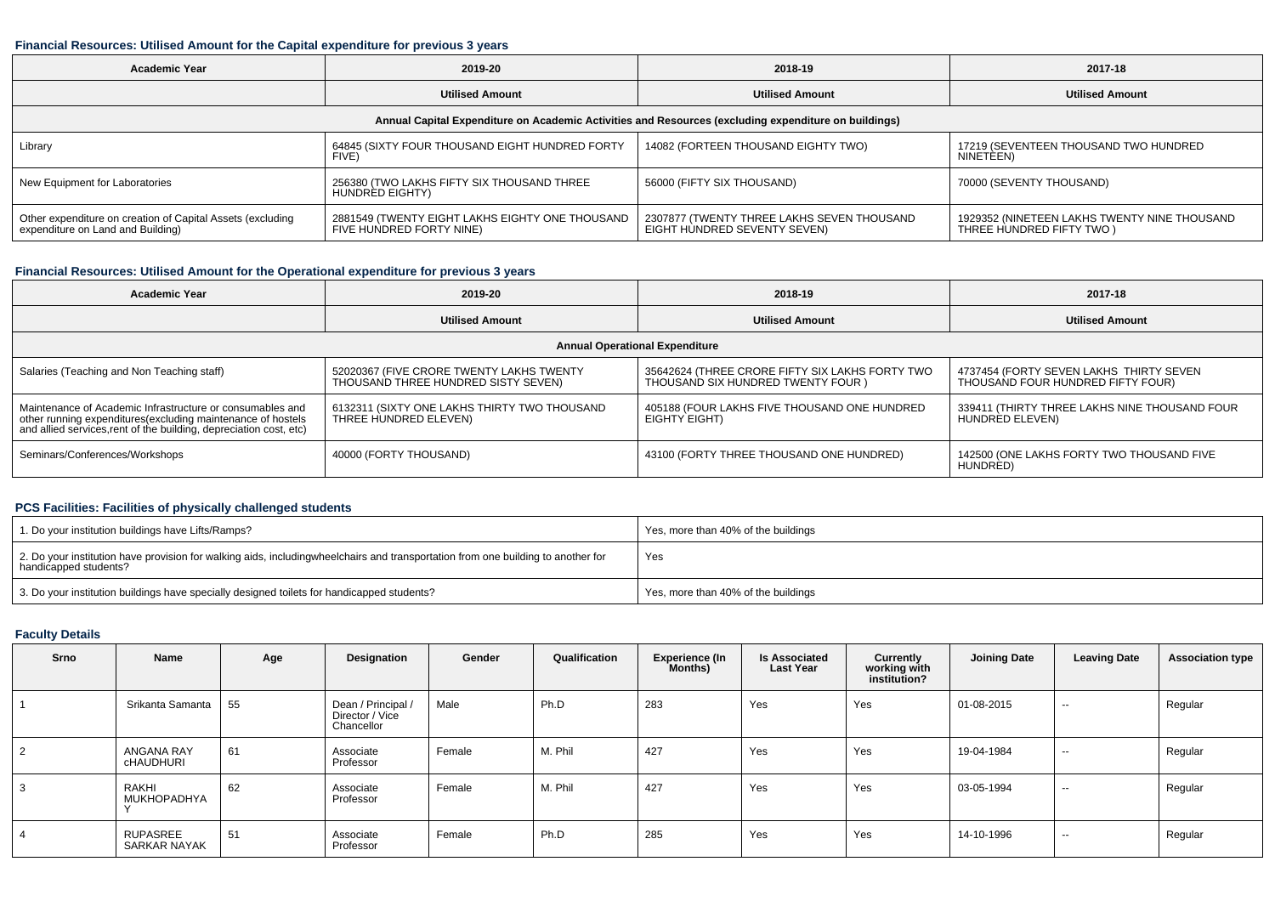#### **Financial Resources: Utilised Amount for the Capital expenditure for previous 3 years**

| <b>Academic Year</b>                                                                                 | 2019-20                                                                     | 2018-19                                                                    | 2017-18                                                                  |  |  |  |  |  |  |  |  |
|------------------------------------------------------------------------------------------------------|-----------------------------------------------------------------------------|----------------------------------------------------------------------------|--------------------------------------------------------------------------|--|--|--|--|--|--|--|--|
|                                                                                                      | <b>Utilised Amount</b>                                                      | <b>Utilised Amount</b>                                                     | <b>Utilised Amount</b>                                                   |  |  |  |  |  |  |  |  |
| Annual Capital Expenditure on Academic Activities and Resources (excluding expenditure on buildings) |                                                                             |                                                                            |                                                                          |  |  |  |  |  |  |  |  |
| Library                                                                                              | 64845 (SIXTY FOUR THOUSAND EIGHT HUNDRED FORTY<br>FIVE)                     | 14082 (FORTEEN THOUSAND EIGHTY TWO)                                        | 17219 (SEVENTEEN THOUSAND TWO HUNDRED<br>NINETEEN)                       |  |  |  |  |  |  |  |  |
| New Equipment for Laboratories                                                                       | 256380 (TWO LAKHS FIFTY SIX THOUSAND THREE<br>HUNDRED EIGHTY)               | 56000 (FIFTY SIX THOUSAND)                                                 | 70000 (SEVENTY THOUSAND)                                                 |  |  |  |  |  |  |  |  |
| Other expenditure on creation of Capital Assets (excluding<br>expenditure on Land and Building)      | 2881549 (TWENTY EIGHT LAKHS EIGHTY ONE THOUSAND<br>FIVE HUNDRED FORTY NINE) | 2307877 (TWENTY THREE LAKHS SEVEN THOUSAND<br>EIGHT HUNDRED SEVENTY SEVEN) | 1929352 (NINETEEN LAKHS TWENTY NINE THOUSAND<br>THREE HUNDRED FIFTY TWO) |  |  |  |  |  |  |  |  |

# **Financial Resources: Utilised Amount for the Operational expenditure for previous 3 years**

| <b>Academic Year</b>                                                                                                                                                                            | 2019-20                                                                         | 2018-19                                                                               | 2017-18                                                                      |  |  |  |  |  |  |  |
|-------------------------------------------------------------------------------------------------------------------------------------------------------------------------------------------------|---------------------------------------------------------------------------------|---------------------------------------------------------------------------------------|------------------------------------------------------------------------------|--|--|--|--|--|--|--|
|                                                                                                                                                                                                 | <b>Utilised Amount</b>                                                          | <b>Utilised Amount</b>                                                                | <b>Utilised Amount</b>                                                       |  |  |  |  |  |  |  |
| <b>Annual Operational Expenditure</b>                                                                                                                                                           |                                                                                 |                                                                                       |                                                                              |  |  |  |  |  |  |  |
| Salaries (Teaching and Non Teaching staff)                                                                                                                                                      | 52020367 (FIVE CRORE TWENTY LAKHS TWENTY<br>THOUSAND THREE HUNDRED SISTY SEVEN) | 35642624 (THREE CRORE FIFTY SIX LAKHS FORTY TWO<br>THOUSAND SIX HUNDRED TWENTY FOUR ) | 4737454 (FORTY SEVEN LAKHS THIRTY SEVEN<br>THOUSAND FOUR HUNDRED FIFTY FOUR) |  |  |  |  |  |  |  |
| Maintenance of Academic Infrastructure or consumables and<br>other running expenditures (excluding maintenance of hostels<br>and allied services, rent of the building, depreciation cost, etc) | 6132311 (SIXTY ONE LAKHS THIRTY TWO THOUSAND<br>THREE HUNDRED ELEVEN)           | 405188 (FOUR LAKHS FIVE THOUSAND ONE HUNDRED<br>EIGHTY EIGHT)                         | 339411 (THIRTY THREE LAKHS NINE THOUSAND FOUR<br>HUNDRED ELEVEN)             |  |  |  |  |  |  |  |
| Seminars/Conferences/Workshops                                                                                                                                                                  | 40000 (FORTY THOUSAND)                                                          | 43100 (FORTY THREE THOUSAND ONE HUNDRED)                                              | 142500 (ONE LAKHS FORTY TWO THOUSAND FIVE<br>HUNDRED)                        |  |  |  |  |  |  |  |

## **PCS Facilities: Facilities of physically challenged students**

| 1. Do your institution buildings have Lifts/Ramps?                                                                                                        | Yes, more than 40% of the buildings |
|-----------------------------------------------------------------------------------------------------------------------------------------------------------|-------------------------------------|
| 2. Do your institution have provision for walking aids, includingwheelchairs and transportation from one building to another for<br>handicapped students? | Yes                                 |
| 3. Do your institution buildings have specially designed toilets for handicapped students?                                                                | Yes, more than 40% of the buildings |

### **Faculty Details**

| Srno | Name                                  | Age | <b>Designation</b>                                  | Gender | Qualification | <b>Experience (In</b><br>Months) | <b>Is Associated</b><br><b>Last Year</b> | Currently<br>working with<br>institution? | <b>Joining Date</b> | <b>Leaving Date</b> | <b>Association type</b> |
|------|---------------------------------------|-----|-----------------------------------------------------|--------|---------------|----------------------------------|------------------------------------------|-------------------------------------------|---------------------|---------------------|-------------------------|
|      | Srikanta Samanta                      | 55  | Dean / Principal /<br>Director / Vice<br>Chancellor | Male   | Ph.D          | 283                              | Yes                                      | Yes                                       | 01-08-2015          | $\sim$              | Regular                 |
|      | <b>ANGANA RAY</b><br><b>CHAUDHURI</b> | 61  | Associate<br>Professor                              | Female | M. Phil       | 427                              | Yes                                      | Yes                                       | 19-04-1984          | $\sim$              | Regular                 |
|      | RAKHI<br>MUKHOPADHYA                  | 62  | Associate<br>Professor                              | Female | M. Phil       | 427                              | Yes                                      | Yes                                       | 03-05-1994          | $- -$               | Regular                 |
|      | RUPASREE<br>SARKAR NAYAK              | 51  | Associate<br>Professor                              | Female | Ph.D          | 285                              | Yes                                      | Yes                                       | 14-10-1996          | $\sim$              | Regular                 |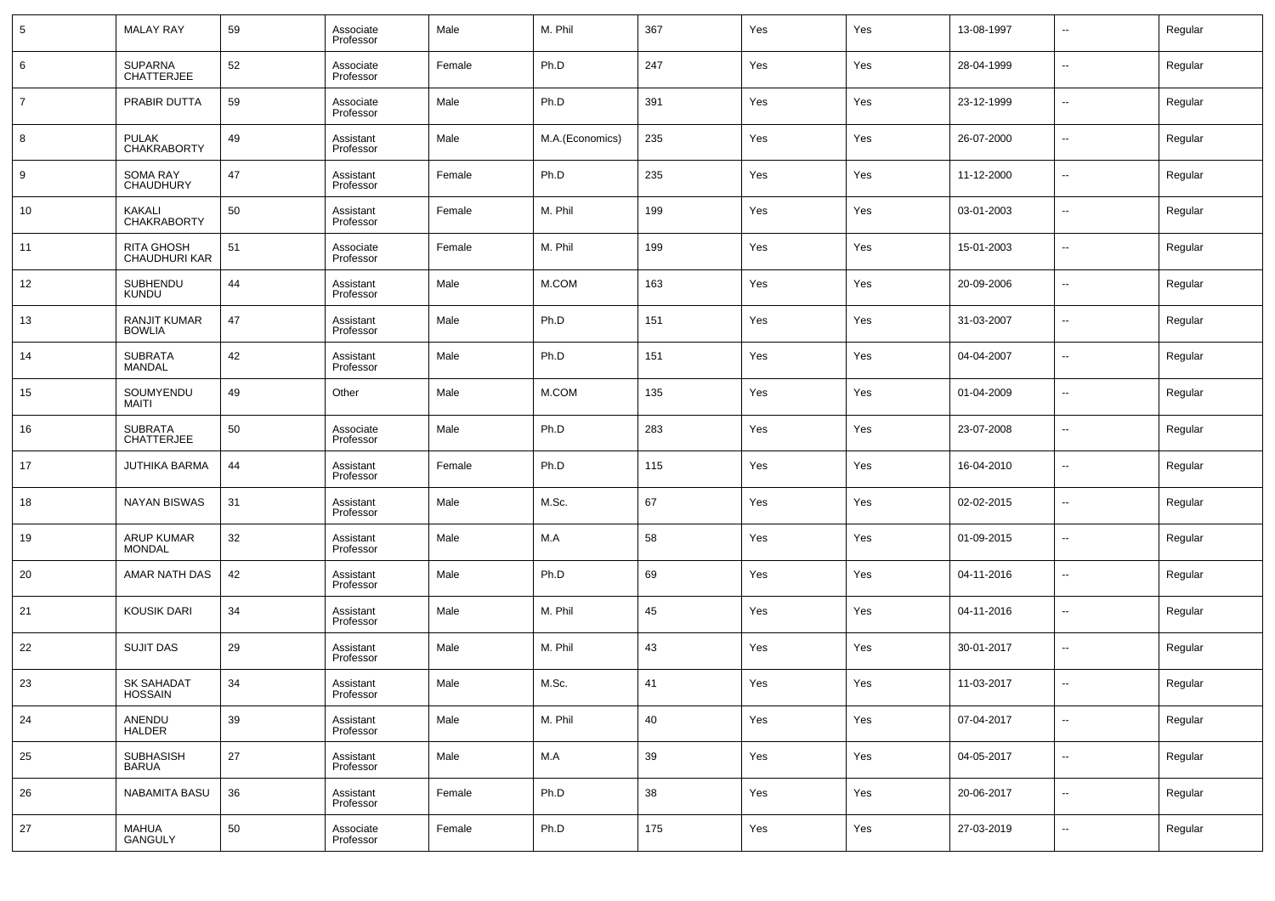| 5              | <b>MALAY RAY</b>                     | 59 | Associate<br>Professor | Male   | M. Phil         | 367    | Yes | Yes | 13-08-1997 | $\overline{\phantom{a}}$ | Regular |
|----------------|--------------------------------------|----|------------------------|--------|-----------------|--------|-----|-----|------------|--------------------------|---------|
| 6              | <b>SUPARNA</b><br><b>CHATTERJEE</b>  | 52 | Associate<br>Professor | Female | Ph.D            | 247    | Yes | Yes | 28-04-1999 | $\overline{\phantom{a}}$ | Regular |
| $\overline{7}$ | PRABIR DUTTA                         | 59 | Associate<br>Professor | Male   | Ph.D            | 391    | Yes | Yes | 23-12-1999 | $\overline{\phantom{a}}$ | Regular |
| 8              | PULAK<br><b>CHAKRABORTY</b>          | 49 | Assistant<br>Professor | Male   | M.A.(Economics) | 235    | Yes | Yes | 26-07-2000 | $\overline{\phantom{a}}$ | Regular |
| 9              | SOMA RAY<br><b>CHAUDHURY</b>         | 47 | Assistant<br>Professor | Female | Ph.D            | 235    | Yes | Yes | 11-12-2000 | $\overline{\phantom{a}}$ | Regular |
| 10             | KAKALI<br><b>CHAKRABORTY</b>         | 50 | Assistant<br>Professor | Female | M. Phil         | 199    | Yes | Yes | 03-01-2003 | $\overline{\phantom{a}}$ | Regular |
| 11             | RITA GHOSH<br>CHAUDHURI KAR          | 51 | Associate<br>Professor | Female | M. Phil         | 199    | Yes | Yes | 15-01-2003 | $\overline{\phantom{a}}$ | Regular |
| 12             | SUBHENDU<br><b>KUNDU</b>             | 44 | Assistant<br>Professor | Male   | M.COM           | 163    | Yes | Yes | 20-09-2006 | $\overline{\phantom{a}}$ | Regular |
| 13             | <b>RANJIT KUMAR</b><br><b>BOWLIA</b> | 47 | Assistant<br>Professor | Male   | Ph.D            | 151    | Yes | Yes | 31-03-2007 | $\overline{\phantom{a}}$ | Regular |
| 14             | <b>SUBRATA</b><br><b>MANDAL</b>      | 42 | Assistant<br>Professor | Male   | Ph.D            | 151    | Yes | Yes | 04-04-2007 | $\overline{\phantom{a}}$ | Regular |
| 15             | SOUMYENDU<br><b>MAITI</b>            | 49 | Other                  | Male   | M.COM           | 135    | Yes | Yes | 01-04-2009 | $\overline{\phantom{a}}$ | Regular |
| 16             | <b>SUBRATA</b><br><b>CHATTERJEE</b>  | 50 | Associate<br>Professor | Male   | Ph.D            | 283    | Yes | Yes | 23-07-2008 | $\overline{\phantom{a}}$ | Regular |
| 17             | <b>JUTHIKA BARMA</b>                 | 44 | Assistant<br>Professor | Female | Ph.D            | 115    | Yes | Yes | 16-04-2010 | $\overline{\phantom{a}}$ | Regular |
| 18             | <b>NAYAN BISWAS</b>                  | 31 | Assistant<br>Professor | Male   | M.Sc.           | 67     | Yes | Yes | 02-02-2015 | $\overline{\phantom{a}}$ | Regular |
| 19             | <b>ARUP KUMAR</b><br><b>MONDAL</b>   | 32 | Assistant<br>Professor | Male   | M.A             | 58     | Yes | Yes | 01-09-2015 | $\overline{\phantom{a}}$ | Regular |
| 20             | AMAR NATH DAS                        | 42 | Assistant<br>Professor | Male   | Ph.D            | 69     | Yes | Yes | 04-11-2016 | $\overline{\phantom{a}}$ | Regular |
| 21             | <b>KOUSIK DARI</b>                   | 34 | Assistant<br>Professor | Male   | M. Phil         | 45     | Yes | Yes | 04-11-2016 | $\overline{\phantom{a}}$ | Regular |
| 22             | <b>SUJIT DAS</b>                     | 29 | Assistant<br>Professor | Male   | M. Phil         | 43     | Yes | Yes | 30-01-2017 | $\overline{\phantom{a}}$ | Regular |
| 23             | <b>SK SAHADAT</b><br>HOSSAIN         | 34 | Assistant<br>Professor | Male   | M.Sc.           | 41     | Yes | Yes | 11-03-2017 | $\overline{\phantom{a}}$ | Regular |
| 24             | ANENDU<br><b>HALDER</b>              | 39 | Assistant<br>Professor | Male   | M. Phil         | 40     | Yes | Yes | 07-04-2017 | ۰.                       | Regular |
| 25             | SUBHASISH<br><b>BARUA</b>            | 27 | Assistant<br>Professor | Male   | M.A             | $39\,$ | Yes | Yes | 04-05-2017 | $\overline{\phantom{a}}$ | Regular |
| 26             | NABAMITA BASU                        | 36 | Assistant<br>Professor | Female | Ph.D            | $38\,$ | Yes | Yes | 20-06-2017 | $\overline{\phantom{a}}$ | Regular |
| 27             | MAHUA<br>GANGULY                     | 50 | Associate<br>Professor | Female | Ph.D            | 175    | Yes | Yes | 27-03-2019 | ۰.                       | Regular |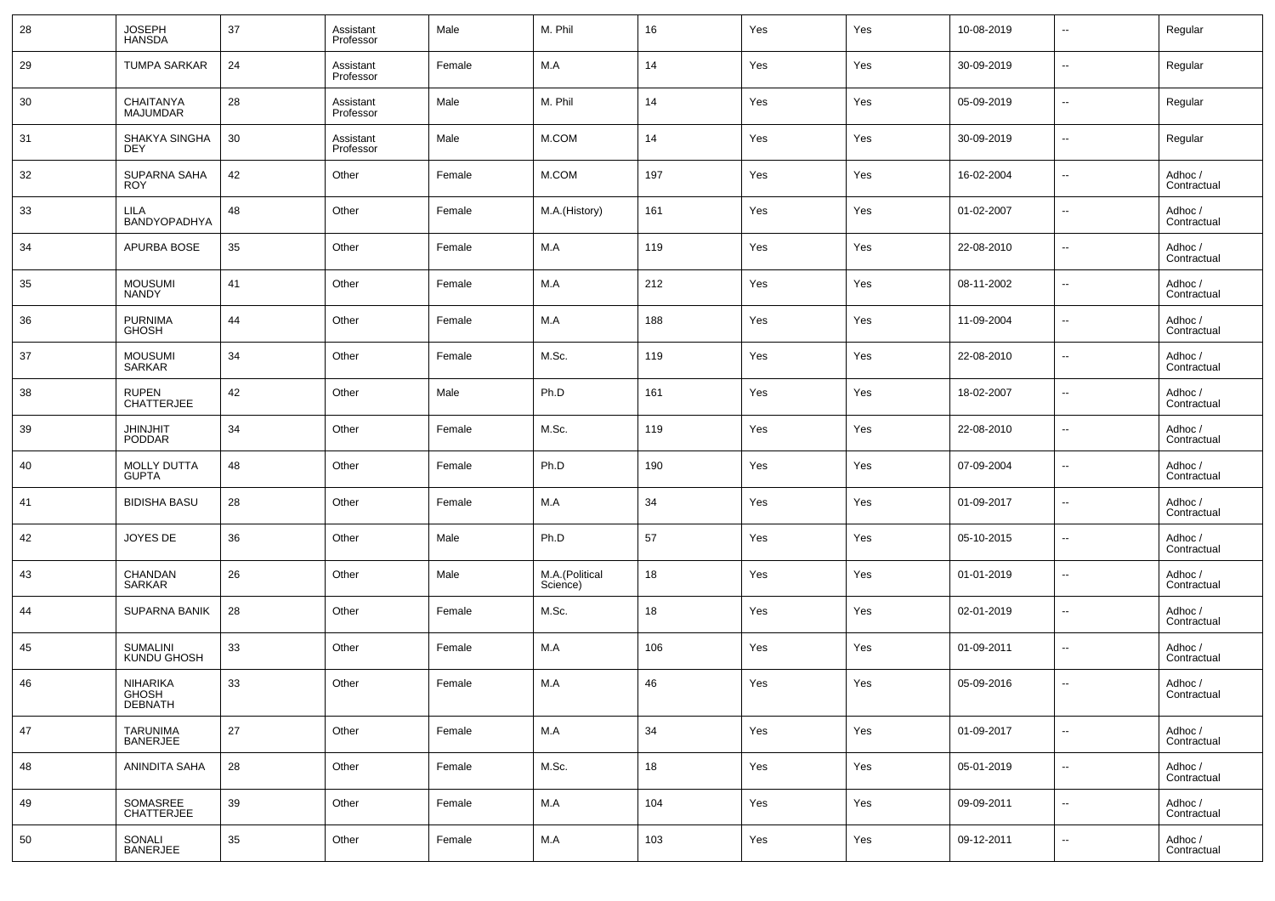| 28 | <b>JOSEPH</b><br><b>HANSDA</b>             | 37 | Assistant<br>Professor | Male   | M. Phil                    | 16  | Yes | Yes | 10-08-2019 | $\overline{\phantom{a}}$ | Regular                |
|----|--------------------------------------------|----|------------------------|--------|----------------------------|-----|-----|-----|------------|--------------------------|------------------------|
| 29 | <b>TUMPA SARKAR</b>                        | 24 | Assistant<br>Professor | Female | M.A                        | 14  | Yes | Yes | 30-09-2019 | $\overline{\phantom{a}}$ | Regular                |
| 30 | CHAITANYA<br><b>MAJUMDAR</b>               | 28 | Assistant<br>Professor | Male   | M. Phil                    | 14  | Yes | Yes | 05-09-2019 | $\overline{\phantom{a}}$ | Regular                |
| 31 | SHAKYA SINGHA<br><b>DEY</b>                | 30 | Assistant<br>Professor | Male   | M.COM                      | 14  | Yes | Yes | 30-09-2019 | $\overline{\phantom{a}}$ | Regular                |
| 32 | SUPARNA SAHA<br><b>ROY</b>                 | 42 | Other                  | Female | M.COM                      | 197 | Yes | Yes | 16-02-2004 | $\overline{\phantom{a}}$ | Adhoc /<br>Contractual |
| 33 | LILA<br>BANDYOPADHYA                       | 48 | Other                  | Female | M.A.(History)              | 161 | Yes | Yes | 01-02-2007 | $\overline{\phantom{a}}$ | Adhoc /<br>Contractual |
| 34 | <b>APURBA BOSE</b>                         | 35 | Other                  | Female | M.A                        | 119 | Yes | Yes | 22-08-2010 | $\overline{\phantom{a}}$ | Adhoc /<br>Contractual |
| 35 | <b>MOUSUMI</b><br><b>NANDY</b>             | 41 | Other                  | Female | M.A                        | 212 | Yes | Yes | 08-11-2002 | $\overline{\phantom{a}}$ | Adhoc /<br>Contractual |
| 36 | <b>PURNIMA</b><br><b>GHOSH</b>             | 44 | Other                  | Female | M.A                        | 188 | Yes | Yes | 11-09-2004 | $\overline{\phantom{a}}$ | Adhoc /<br>Contractual |
| 37 | <b>MOUSUMI</b><br><b>SARKAR</b>            | 34 | Other                  | Female | M.Sc.                      | 119 | Yes | Yes | 22-08-2010 | $\overline{\phantom{a}}$ | Adhoc /<br>Contractual |
| 38 | <b>RUPEN</b><br><b>CHATTERJEE</b>          | 42 | Other                  | Male   | Ph.D                       | 161 | Yes | Yes | 18-02-2007 | $\overline{\phantom{a}}$ | Adhoc /<br>Contractual |
| 39 | <b>JHINJHIT</b><br><b>PODDAR</b>           | 34 | Other                  | Female | M.Sc.                      | 119 | Yes | Yes | 22-08-2010 | $\overline{\phantom{a}}$ | Adhoc /<br>Contractual |
| 40 | <b>MOLLY DUTTA</b><br><b>GUPTA</b>         | 48 | Other                  | Female | Ph.D                       | 190 | Yes | Yes | 07-09-2004 | $\overline{\phantom{a}}$ | Adhoc /<br>Contractual |
| 41 | <b>BIDISHA BASU</b>                        | 28 | Other                  | Female | M.A                        | 34  | Yes | Yes | 01-09-2017 | $\overline{\phantom{a}}$ | Adhoc /<br>Contractual |
| 42 | JOYES DE                                   | 36 | Other                  | Male   | Ph.D                       | 57  | Yes | Yes | 05-10-2015 | $\overline{\phantom{a}}$ | Adhoc /<br>Contractual |
| 43 | CHANDAN<br>SARKAR                          | 26 | Other                  | Male   | M.A.(Political<br>Science) | 18  | Yes | Yes | 01-01-2019 | $\overline{\phantom{a}}$ | Adhoc /<br>Contractual |
| 44 | <b>SUPARNA BANIK</b>                       | 28 | Other                  | Female | M.Sc.                      | 18  | Yes | Yes | 02-01-2019 | $\overline{\phantom{a}}$ | Adhoc /<br>Contractual |
| 45 | <b>SUMALINI</b><br>KUNDU GHOSH             | 33 | Other                  | Female | M.A                        | 106 | Yes | Yes | 01-09-2011 | $\overline{\phantom{a}}$ | Adhoc /<br>Contractual |
| 46 | <b>NIHARIKA</b><br>GHOSH<br><b>DEBNATH</b> | 33 | Other                  | Female | M.A                        | 46  | Yes | Yes | 05-09-2016 | $\overline{\phantom{a}}$ | Adhoc /<br>Contractual |
| 47 | TARUNIMA<br>BANERJEE                       | 27 | Other                  | Female | M.A                        | 34  | Yes | Yes | 01-09-2017 | ۰.                       | Adhoc /<br>Contractual |
| 48 | ANINDITA SAHA                              | 28 | Other                  | Female | M.Sc.                      | 18  | Yes | Yes | 05-01-2019 | $\overline{\phantom{a}}$ | Adhoc /<br>Contractual |
| 49 | SOMASREE<br>CHATTERJEE                     | 39 | Other                  | Female | M.A                        | 104 | Yes | Yes | 09-09-2011 | $\overline{\phantom{a}}$ | Adhoc /<br>Contractual |
| 50 | SONALI<br><b>BANERJEE</b>                  | 35 | Other                  | Female | M.A                        | 103 | Yes | Yes | 09-12-2011 | ۰.                       | Adhoc /<br>Contractual |